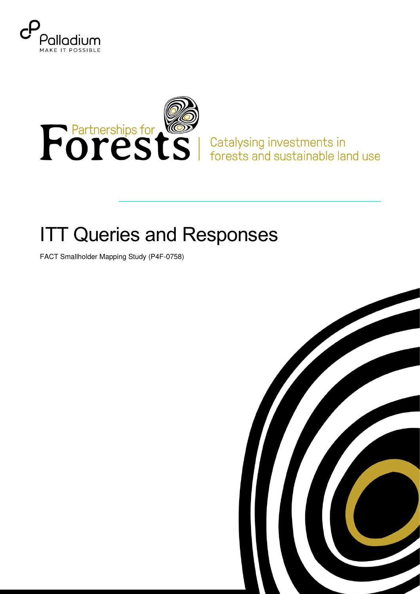



## **ITT Queries and Responses**

FACT Smallholder Mapping Study (P4F-0758)